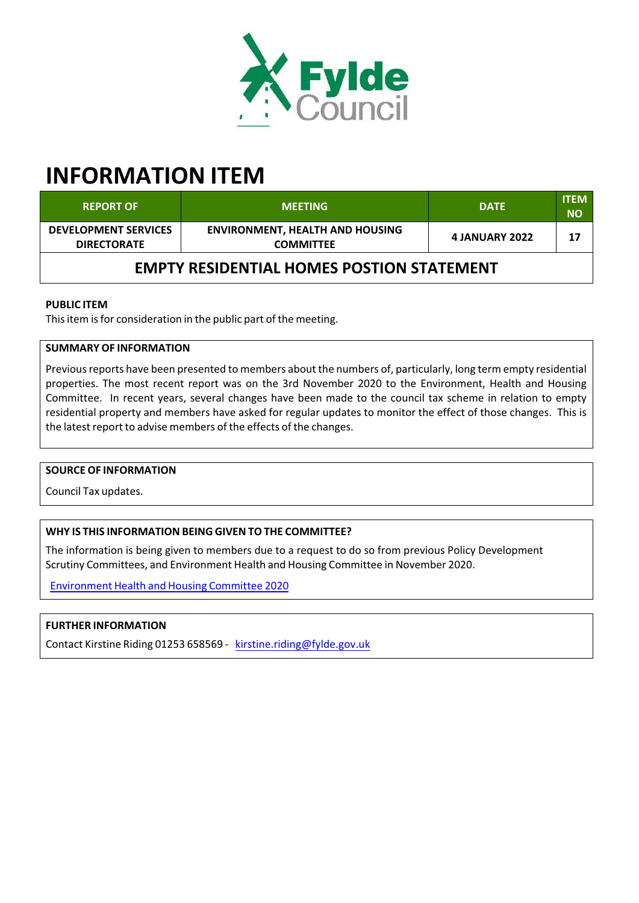

# **INFORMATION ITEM**

| <b>REPORT OF</b>                                  | <b>MEETING</b>                                             | <b>DATE</b>           | <b>ITEM</b><br><b>NO</b> |  |  |  |  |
|---------------------------------------------------|------------------------------------------------------------|-----------------------|--------------------------|--|--|--|--|
| <b>DEVELOPMENT SERVICES</b><br><b>DIRECTORATE</b> | <b>ENVIRONMENT, HEALTH AND HOUSING</b><br><b>COMMITTEE</b> | <b>4 JANUARY 2022</b> | 17                       |  |  |  |  |
| <b>EMPTY RESIDENTIAL HOMES POSTION STATEMENT</b>  |                                                            |                       |                          |  |  |  |  |

## **PUBLIC ITEM**

This item is for consideration in the public part of the meeting.

## **SUMMARY OF INFORMATION**

Previous reports have been presented to members about the numbers of, particularly, long term empty residential properties. The most recent report was on the 3rd November 2020 to the Environment, Health and Housing Committee. In recent years, several changes have been made to the council tax scheme in relation to empty residential property and members have asked for regular updates to monitor the effect of those changes. This is the latest report to advise members of the effects of the changes.

#### **SOURCE OF INFORMATION**

Council Tax updates.

## **WHY IS THIS INFORMATION BEING GIVEN TO THE COMMITTEE?**

The information is being given to members due to a request to do so from previous Policy Development Scrutiny Committees, and Environment Health and Housing Committee in November 2020.

Environment Health and Housing Committee 2020

## **FURTHER INFORMATION**

Contact Kirstine Riding 01253 658569 - kirstine.riding@fylde.gov.uk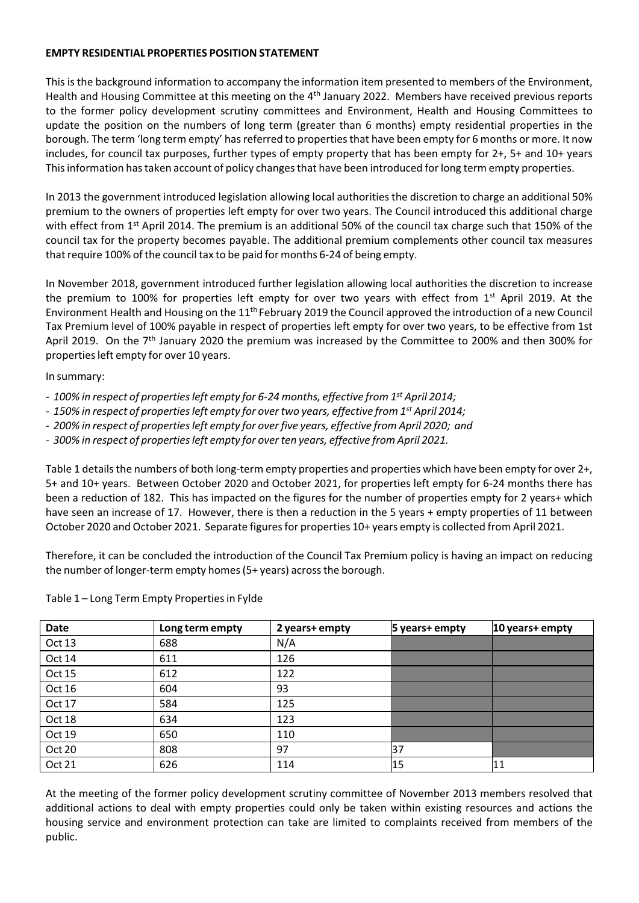### **EMPTY RESIDENTIAL PROPERTIES POSITION STATEMENT**

This is the background information to accompany the information item presented to members of the Environment, Health and Housing Committee at this meeting on the 4<sup>th</sup> January 2022. Members have received previous reports to the former policy development scrutiny committees and Environment, Health and Housing Committees to update the position on the numbers of long term (greater than 6 months) empty residential properties in the borough. The term 'long term empty' has referred to properties that have been empty for 6 months or more. It now includes, for council tax purposes, further types of empty property that has been empty for 2+, 5+ and 10+ years This information has taken account of policy changes that have been introduced for long term empty properties.

In 2013 the government introduced legislation allowing local authorities the discretion to charge an additional 50% premium to the owners of properties left empty for over two years. The Council introduced this additional charge with effect from 1<sup>st</sup> April 2014. The premium is an additional 50% of the council tax charge such that 150% of the council tax for the property becomes payable. The additional premium complements other council tax measures that require 100% of the council tax to be paid for months 6-24 of being empty.

In November 2018, government introduced further legislation allowing local authorities the discretion to increase the premium to 100% for properties left empty for over two years with effect from 1<sup>st</sup> April 2019. At the Environment Health and Housing on the 11<sup>th</sup> February 2019 the Council approved the introduction of a new Council Tax Premium level of 100% payable in respect of properties left empty for over two years, to be effective from 1st April 2019. On the 7<sup>th</sup> January 2020 the premium was increased by the Committee to 200% and then 300% for properties left empty for over 10 years.

In summary:

- ‐ *100% in respect of propertiesleft empty for 6‐24 months, effective from 1 st April 2014;*
- *‐ 150% in respect of propertiesleft empty for over two years, effective from 1 st April 2014;*
- *‐ 200% in respect of propertiesleft empty for over five years, effective from April 2020; and*
- *‐ 300% in respect of propertiesleft empty for over ten years, effective from April 2021.*

Table 1 details the numbers of both long-term empty properties and properties which have been empty for over 2+, 5+ and 10+ years. Between October 2020 and October 2021, for properties left empty for 6‐24 months there has been a reduction of 182. This has impacted on the figures for the number of properties empty for 2 years+ which have seen an increase of 17. However, there is then a reduction in the 5 years + empty properties of 11 between October 2020 and October 2021. Separate figures for properties 10+ years empty is collected from April 2021.

Therefore, it can be concluded the introduction of the Council Tax Premium policy is having an impact on reducing the number of longer-term empty homes (5+ years) across the borough.

| <b>Date</b> | Long term empty | 2 years+ empty | 5 years+ empty | $ 10 \rangle$ years+ empty |
|-------------|-----------------|----------------|----------------|----------------------------|
| Oct 13      | 688             | N/A            |                |                            |
| Oct 14      | 611             | 126            |                |                            |
| Oct 15      | 612             | 122            |                |                            |
| Oct 16      | 604             | 93             |                |                            |
| Oct 17      | 584             | 125            |                |                            |
| Oct 18      | 634             | 123            |                |                            |
| Oct 19      | 650             | 110            |                |                            |
| Oct 20      | 808             | 97             | 37             |                            |
| Oct 21      | 626             | 114            | 15             | 11                         |

Table 1 – Long Term Empty Propertiesin Fylde

At the meeting of the former policy development scrutiny committee of November 2013 members resolved that additional actions to deal with empty properties could only be taken within existing resources and actions the housing service and environment protection can take are limited to complaints received from members of the public.